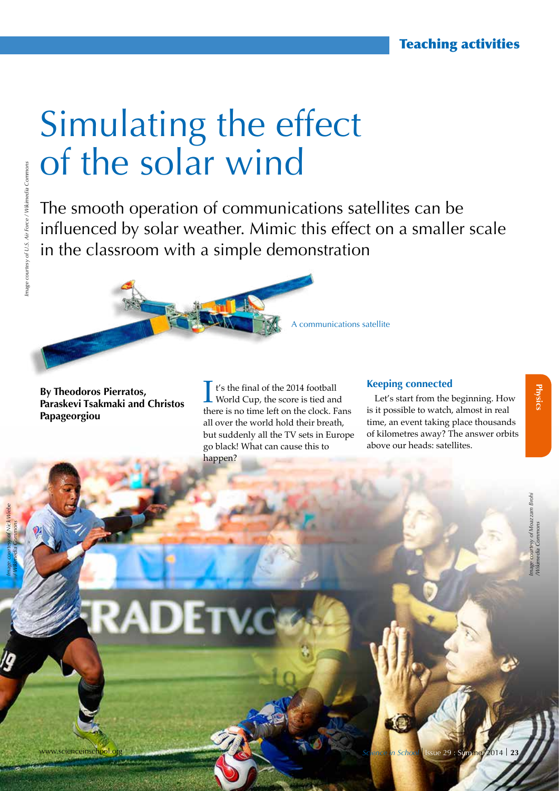# Simulating the effect of the solar wind

**RADETV** 

The smooth operation of communications satellites can be influenced by solar weather. Mimic this effect on a smaller scale in the classroom with a simple demonstration

**By Theodoros Pierratos, Paraskevi Tsakmaki and Christos Papageorgiou**

t's the final of the 2014 football World Cup, the score is tied and there is no time left on the clock. Fans all over the world hold their breath, but suddenly all the TV sets in Europe go black! What can cause this to happen?

#### **Keeping connected**

A communications satellite

Let's start from the beginning. How is it possible to watch, almost in real time, an event taking place thousands of kilometres away? The answer orbits above our heads: satellites.

*Image courtesy of Nick Wiebe / Wikimedia Commons*

ww.scienceinschool.org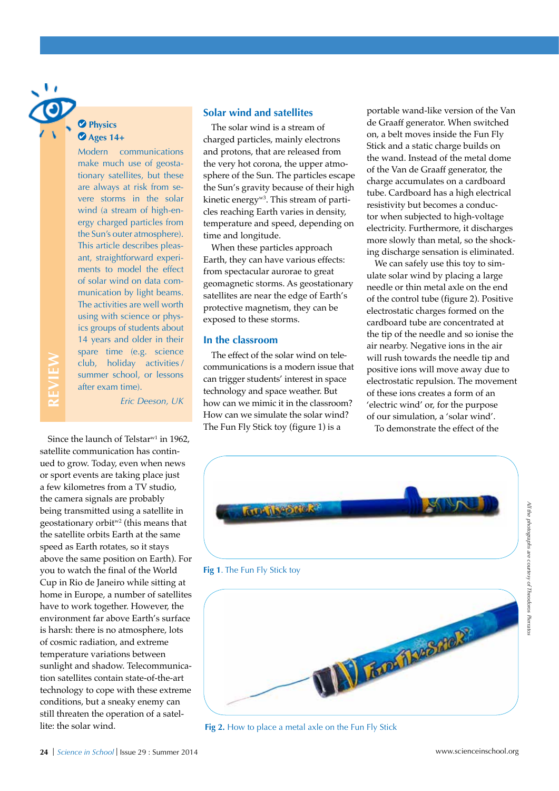### **Physics Ages 14+**

**REVIEW**

Modern communications make much use of geostationary satellites, but these are always at risk from severe storms in the solar wind (a stream of high-energy charged particles from the Sun's outer atmosphere). This article describes pleasant, straightforward experiments to model the effect of solar wind on data communication by light beams. The activities are well worth using with science or physics groups of students about 14 years and older in their spare time (e.g. science club, holiday activities / summer school, or lessons after exam time).

*Eric Deeson, UK*

Since the launch of Telstar<sup>w1</sup> in 1962. satellite communication has continued to grow. Today, even when news or sport events are taking place just a few kilometres from a TV studio, the camera signals are probably being transmitted using a satellite in geostationary orbitw2 (this means that the satellite orbits Earth at the same speed as Earth rotates, so it stays above the same position on Earth). For you to watch the final of the World Cup in Rio de Janeiro while sitting at home in Europe, a number of satellites have to work together. However, the environment far above Earth's surface is harsh: there is no atmosphere, lots of cosmic radiation, and extreme temperature variations between sunlight and shadow. Telecommunication satellites contain state-of-the-art technology to cope with these extreme conditions, but a sneaky enemy can still threaten the operation of a satellite: the solar wind.

#### **Solar wind and satellites**

The solar wind is a stream of charged particles, mainly electrons and protons, that are released from the very hot corona, the upper atmosphere of the Sun. The particles escape the Sun's gravity because of their high kinetic energy<sup>w3</sup>. This stream of particles reaching Earth varies in density, temperature and speed, depending on time and longitude.

When these particles approach Earth, they can have various effects: from spectacular aurorae to great geomagnetic storms. As geostationary satellites are near the edge of Earth's protective magnetism, they can be exposed to these storms.

#### **In the classroom**

The effect of the solar wind on telecommunications is a modern issue that can trigger students' interest in space technology and space weather. But how can we mimic it in the classroom? How can we simulate the solar wind? The Fun Fly Stick toy (figure 1) is a

portable wand-like version of the Van de Graaff generator. When switched on, a belt moves inside the Fun Fly Stick and a static charge builds on the wand. Instead of the metal dome of the Van de Graaff generator, the charge accumulates on a cardboard tube. Cardboard has a high electrical resistivity but becomes a conductor when subjected to high-voltage electricity. Furthermore, it discharges more slowly than metal, so the shocking discharge sensation is eliminated.

We can safely use this toy to simulate solar wind by placing a large needle or thin metal axle on the end of the control tube (figure 2). Positive electrostatic charges formed on the cardboard tube are concentrated at the tip of the needle and so ionise the air nearby. Negative ions in the air will rush towards the needle tip and positive ions will move away due to electrostatic repulsion. The movement of these ions creates a form of an 'electric wind' or, for the purpose of our simulation, a 'solar wind'.







**Fig 2.** How to place a metal axle on the Fun Fly Stick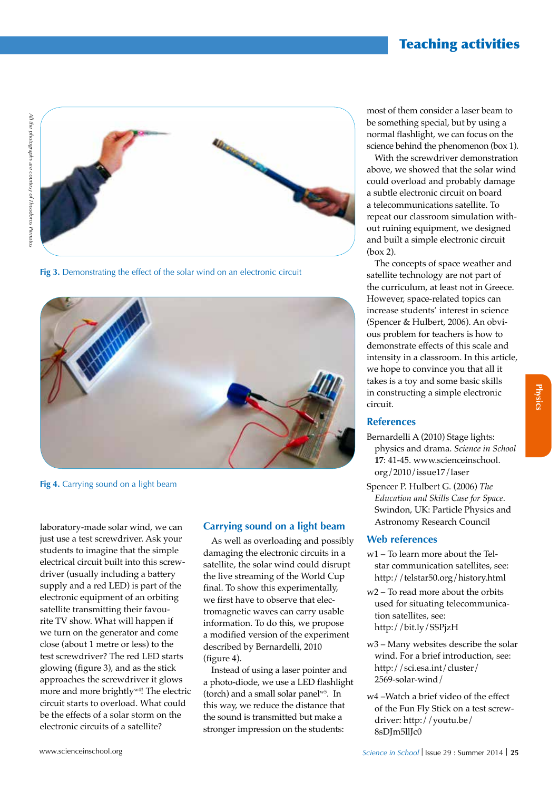### Teaching activities



**Fig 3.** Demonstrating the effect of the solar wind on an electronic circuit



**Fig 4.** Carrying sound on a light beam

laboratory-made solar wind, we can just use a test screwdriver. Ask your students to imagine that the simple electrical circuit built into this screwdriver (usually including a battery supply and a red LED) is part of the electronic equipment of an orbiting satellite transmitting their favourite TV show. What will happen if we turn on the generator and come close (about 1 metre or less) to the test screwdriver? The red LED starts glowing (figure 3), and as the stick approaches the screwdriver it glows more and more brightly<sup>w4</sup>! The electric circuit starts to overload. What could be the effects of a solar storm on the electronic circuits of a satellite?

#### **Carrying sound on a light beam**

As well as overloading and possibly damaging the electronic circuits in a satellite, the solar wind could disrupt the live streaming of the World Cup final. To show this experimentally, we first have to observe that electromagnetic waves can carry usable information. To do this, we propose a modified version of the experiment described by Bernardelli, 2010 (figure 4).

Instead of using a laser pointer and a photo-diode, we use a LED flashlight (torch) and a small solar panel<sup>w5</sup>. In this way, we reduce the distance that the sound is transmitted but make a stronger impression on the students:

most of them consider a laser beam to be something special, but by using a normal flashlight, we can focus on the science behind the phenomenon (box 1).

With the screwdriver demonstration above, we showed that the solar wind could overload and probably damage a subtle electronic circuit on board a telecommunications satellite. To repeat our classroom simulation without ruining equipment, we designed and built a simple electronic circuit (box 2).

The concepts of space weather and satellite technology are not part of the curriculum, at least not in Greece. However, space-related topics can increase students' interest in science (Spencer & Hulbert, 2006). An obvious problem for teachers is how to demonstrate effects of this scale and intensity in a classroom. In this article, we hope to convince you that all it takes is a toy and some basic skills in constructing a simple electronic circuit.

#### **References**

- Bernardelli A (2010) Stage lights: physics and drama. *Science in School* **17**: 41-45. www.scienceinschool. org/2010/issue17/laser
- Spencer P. Hulbert G. (2006) *The Education and Skills Case for Space*. Swindon, UK: Particle Physics and Astronomy Research Council

#### **Web references**

- w1 To learn more about the Telstar communication satellites, see: http://telstar50.org/history.html
- w2 To read more about the orbits used for situating telecommunication satellites, see: http://bit.ly/SSPjzH
- w3 Many websites describe the solar wind. For a brief introduction, see: http://sci.esa.int/cluster/ 2569-solar-wind/
- w4 –Watch a brief video of the effect of the Fun Fly Stick on a test screwdriver: http://youtu.be/ 8sDJm5llJc0

**Physics**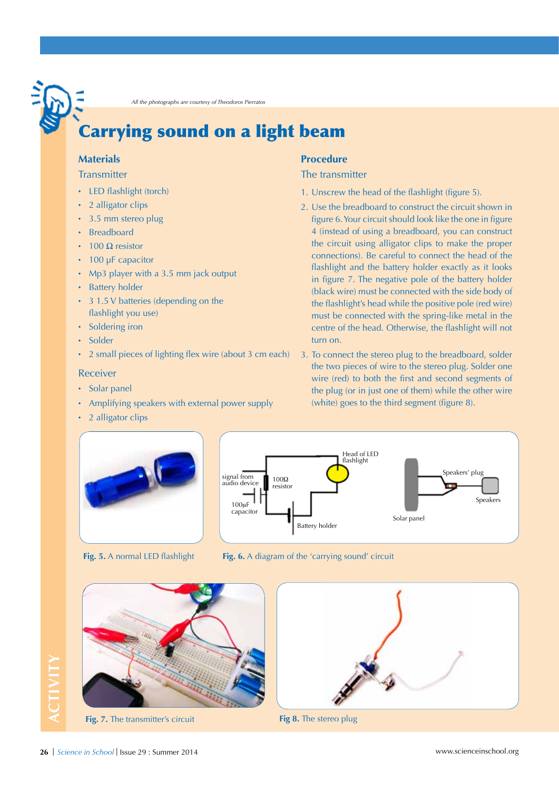*All the photographs are courtesy of Theodoros Pierratos*

# Carrying sound on a light beam

#### **Materials**

#### **Transmitter**

- · LED flashlight (torch)
- 2 alligator clips
- · 3.5 mm stereo plug
- · Breadboard
- 100 Ω resistor
- · 100 μF capacitor
- · Mp3 player with a 3.5 mm jack output
- · Battery holder
- · 3 1.5 V batteries (depending on the flashlight you use)
- Soldering iron
- · Solder
- · 2 small pieces of lighting flex wire (about 3 cm each)

#### Receiver

- · Solar panel
- · Amplifying speakers with external power supply
- 2 alligator clips

#### **Procedure**

#### The transmitter

- 1. Unscrew the head of the flashlight (figure 5).
- 2. Use the breadboard to construct the circuit shown in figure 6. Your circuit should look like the one in figure 4 (instead of using a breadboard, you can construct the circuit using alligator clips to make the proper connections). Be careful to connect the head of the flashlight and the battery holder exactly as it looks in figure 7. The negative pole of the battery holder (black wire) must be connected with the side body of the flashlight's head while the positive pole (red wire) must be connected with the spring-like metal in the centre of the head. Otherwise, the flashlight will not turn on.
- 3. To connect the stereo plug to the breadboard, solder the two pieces of wire to the stereo plug. Solder one wire (red) to both the first and second segments of the plug (or in just one of them) while the other wire (white) goes to the third segment (figure 8).









**Fig. 7.** The transmitter's circuit **Fig 8.** The stereo plug



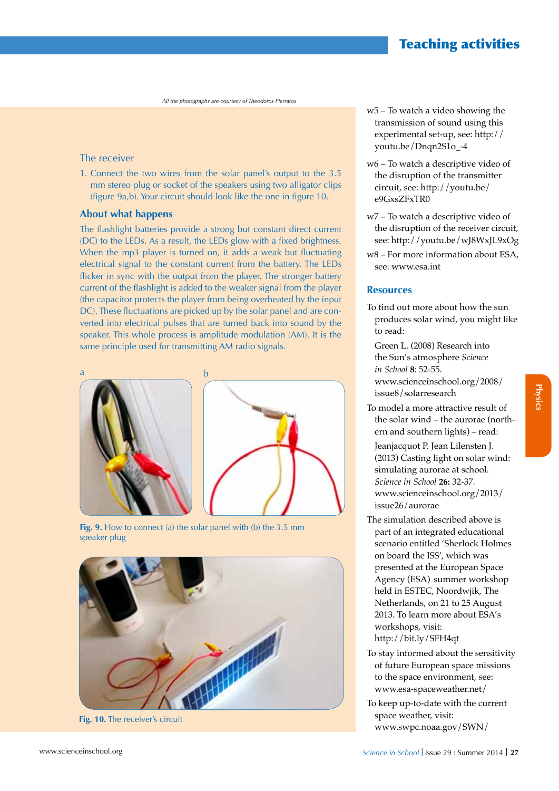## Teaching activities

*All the photographs are courtesy of Theodoros Pierratos*

#### The receiver

1. Connect the two wires from the solar panel's output to the 3.5 mm stereo plug or socket of the speakers using two alligator clips (figure 9a,b). Your circuit should look like the one in figure 10.

#### **About what happens**

The flashlight batteries provide a strong but constant direct current (DC) to the LEDs. As a result, the LEDs glow with a fixed brightness. When the mp3 player is turned on, it adds a weak but fluctuating electrical signal to the constant current from the battery. The LEDs flicker in sync with the output from the player. The stronger battery current of the flashlight is added to the weaker signal from the player (the capacitor protects the player from being overheated by the input DC). These fluctuations are picked up by the solar panel and are converted into electrical pulses that are turned back into sound by the speaker. This whole process is amplitude modulation (AM). It is the same principle used for transmitting AM radio signals.



**Fig. 9.** How to connect (a) the solar panel with (b) the 3.5 mm speaker plug



**Fig. 10.** The receiver's circuit

- w5 To watch a video showing the transmission of sound using this experimental set-up, see: http:// youtu.be/Dnqn2S1o\_-4
- w6 To watch a descriptive video of the disruption of the transmitter circuit, see: http://youtu.be/ e9GxsZFxTR0
- w7 To watch a descriptive video of the disruption of the receiver circuit, see: http://youtu.be/wJ8WxJL9xOg
- w8 For more information about ESA, see: www.esa.int

#### **Resources**

To find out more about how the sun produces solar wind, you might like to read:

Green L. (2008) Research into the Sun's atmosphere *Science in School* **8**: 52-55.

www.scienceinschool.org/2008/ issue8/solarresearch

- To model a more attractive result of the solar wind – the aurorae (northern and southern lights) – read:
	- Jeanjacquot P. Jean Lilensten J. (2013) Casting light on solar wind: simulating aurorae at school. *Science in School* **26:** 32-37*.* www.scienceinschool.org/2013/ issue26/aurorae
- The simulation described above is part of an integrated educational scenario entitled 'Sherlock Holmes on board the ISS', which was presented at the European Space Agency (ESA) summer workshop held in ESTEC, Noordwjik, The Netherlands, on 21 to 25 August 2013. To learn more about ESA's workshops, visit: http://bit.ly/SFH4qt
- To stay informed about the sensitivity of future European space missions to the space environment, see: www.esa-spaceweather.net/
- To keep up-to-date with the current space weather, visit: www.swpc.noaa.gov/SWN/

**Physics**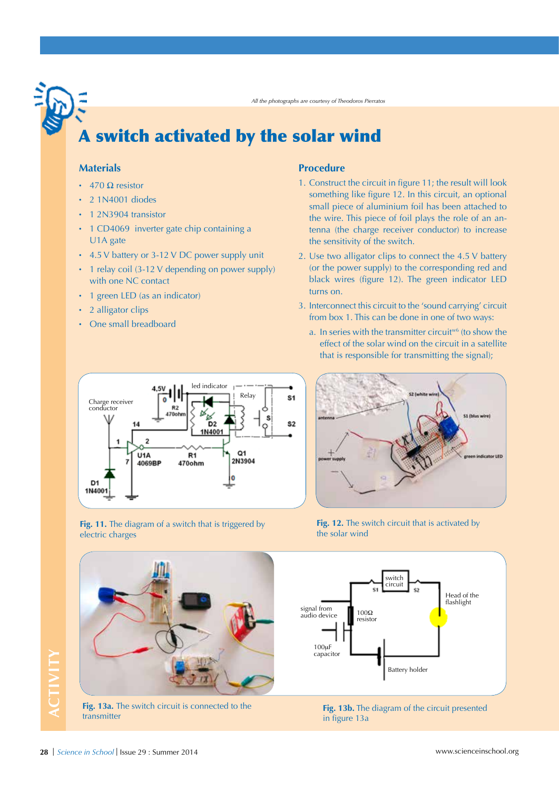*All the photographs are courtesy of Theodoros Pierratos*

# A switch activated by the solar wind

#### **Materials**

- 470  $\Omega$  resistor
- · 2 1N4001 diodes
- · 1 2N3904 transistor
- · 1 CD4069 inverter gate chip containing a U1A gate
- · 4.5 V battery or 3-12 V DC power supply unit
- · 1 relay coil (3-12 V depending on power supply) with one NC contact
- · 1 green LED (as an indicator)
- 2 alligator clips
- · One small breadboard

#### **Procedure**

- 1. Construct the circuit in figure 11; the result will look something like figure 12. In this circuit, an optional small piece of aluminium foil has been attached to the wire. This piece of foil plays the role of an antenna (the charge receiver conductor) to increase the sensitivity of the switch.
- 2. Use two alligator clips to connect the 4.5 V battery (or the power supply) to the corresponding red and black wires (figure 12). The green indicator LED turns on.
- 3. Interconnect this circuit to the 'sound carrying' circuit from box 1. This can be done in one of two ways:
	- a. In series with the transmitter circuit<sup>w6</sup> (to show the effect of the solar wind on the circuit in a satellite that is responsible for transmitting the signal);







Fig. 12. The switch circuit that is activated by the solar wind





**Fig. 13b.** The diagram of the circuit presented in figure 13a

# ACTIVITY **ACTIVITY**